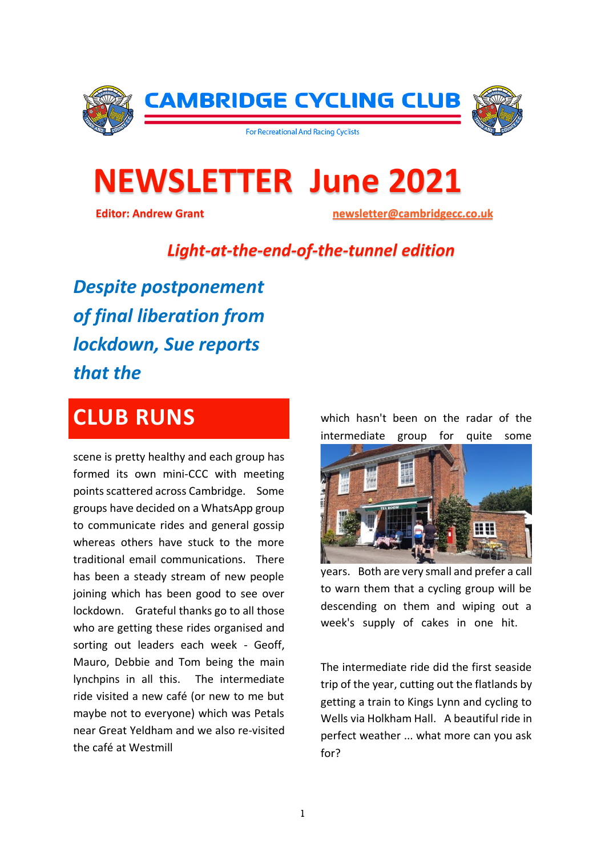

# **NEWSLETTER June 2021**

 **Editor: Andrew Grant [newsletter@cambridgecc.co.uk](mailto:newsletter@cambridgecc.co.uk)**

#### *Light-at-the-end-of-the-tunnel edition*

*Despite postponement of final liberation from lockdown, Sue reports that the*

### **CLUB RUNS**

scene is pretty healthy and each group has formed its own mini-CCC with meeting points scattered across Cambridge. Some groups have decided on a WhatsApp group to communicate rides and general gossip whereas others have stuck to the more traditional email communications. There has been a steady stream of new people joining which has been good to see over lockdown. Grateful thanks go to all those who are getting these rides organised and sorting out leaders each week - Geoff, Mauro, Debbie and Tom being the main lynchpins in all this. The intermediate ride visited a new café (or new to me but maybe not to everyone) which was Petals near Great Yeldham and we also re-visited the café at Westmill

which hasn't been on the radar of the intermediate group for quite some



years. Both are very small and prefer a call to warn them that a cycling group will be descending on them and wiping out a week's supply of cakes in one hit.

The intermediate ride did the first seaside trip of the year, cutting out the flatlands by getting a train to Kings Lynn and cycling to Wells via Holkham Hall. A beautiful ride in perfect weather ... what more can you ask for?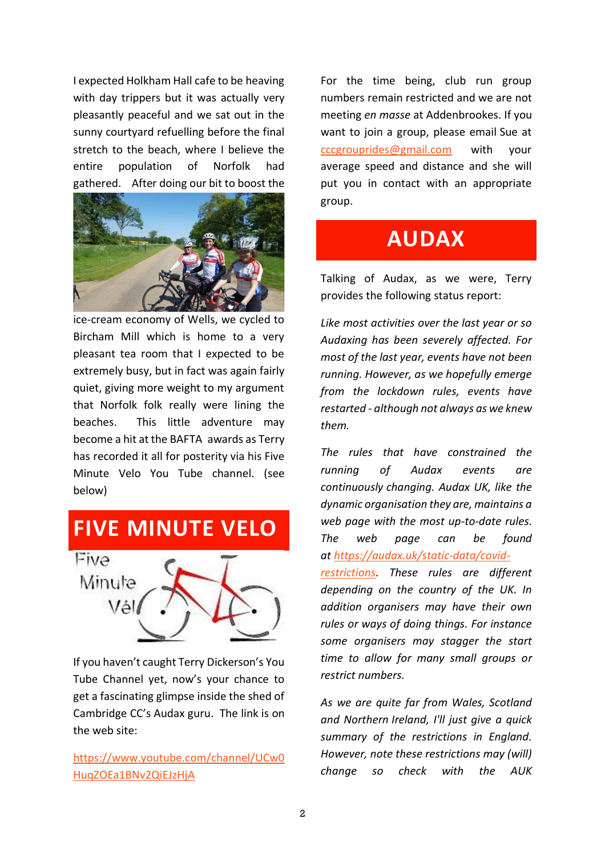I expected Holkham Hall cafe to be heaving with day trippers but it was actually very pleasantly peaceful and we sat out in the sunny courtyard refuelling before the final stretch to the beach, where I believe the entire population of Norfolk had gathered. After doing our bit to boost the



ice-cream economy of Wells, we cycled to Bircham Mill which is home to a very pleasant tea room that I expected to be extremely busy, but in fact was again fairly quiet, giving more weight to my argument that Norfolk folk really were lining the beaches. This little adventure may become a hit at the BAFTA awards as Terry has recorded it all for posterity via his Five Minute Velo You Tube channel. (see below)

## **FIVE MINUTE VELO**



If you haven't caught Terry Dickerson's You Tube Channel yet, now's your chance to get a fascinating glimpse inside the shed of Cambridge CC's Audax guru. The link is on the web site:

[https://www.youtube.com/channel/UCw0](https://www.youtube.com/channel/UCw0HuqZOEa1BNv2QiEJzHjA) [HuqZOEa1BNv2QiEJzHjA](https://www.youtube.com/channel/UCw0HuqZOEa1BNv2QiEJzHjA)

For the time being, club run group numbers remain restricted and we are not meeting *en masse* at Addenbrookes. If you want to join a group, please email Sue at [cccgrouprides@gmail.com](mailto:cccgrouprides@gmail.com) with your average speed and distance and she will put you in contact with an appropriate group.

### **AUDAX**

Talking of Audax, as we were, Terry provides the following status report:

*Like most activities over the last year or so Audaxing has been severely affected. For most of the last year, events have not been running. However, as we hopefully emerge from the lockdown rules, events have restarted - although not always as we knew them.*

*The rules that have constrained the running of Audax events are continuously changing. Audax UK, like the dynamic organisation they are, maintains a web page with the most up-to-date rules. The web page can be found at [https://audax.uk/static-data/covid](https://audax.uk/static-data/covid-restrictions)[restrictions.](https://audax.uk/static-data/covid-restrictions) These rules are different depending on the country of the UK. In addition organisers may have their own rules or ways of doing things. For instance* 

*some organisers may stagger the start time to allow for many small groups or restrict numbers.*

*As we are quite far from Wales, Scotland and Northern Ireland, I'll just give a quick summary of the restrictions in England. However, note these restrictions may (will) change so check with the AUK*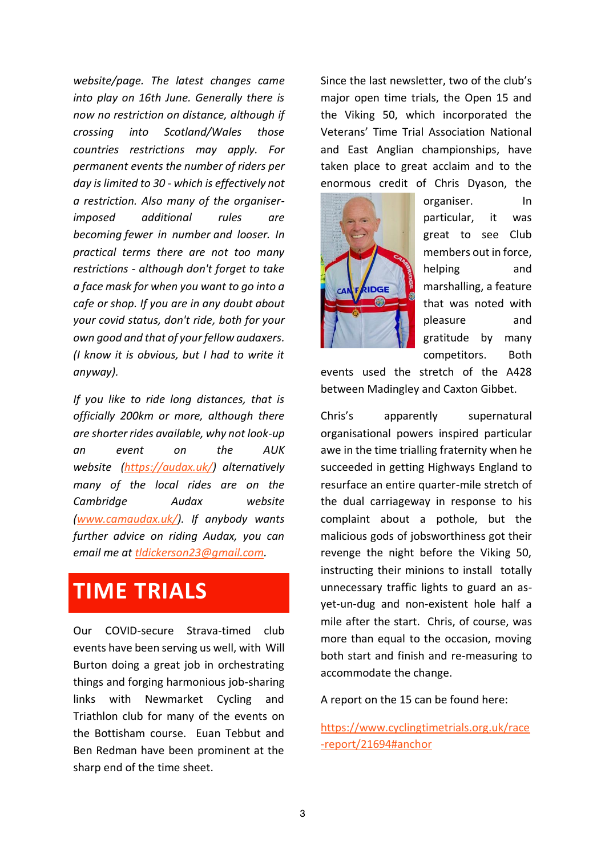*website/page. The latest changes came into play on 16th June. Generally there is now no restriction on distance, although if crossing into Scotland/Wales those countries restrictions may apply. For permanent events the number of riders per day is limited to 30 - which is effectively not a restriction. Also many of the organiserimposed additional rules are becoming fewer in number and looser. In practical terms there are not too many restrictions - although don't forget to take a face mask for when you want to go into a cafe or shop. If you are in any doubt about your covid status, don't ride, both for your own good and that of your fellow audaxers. (I know it is obvious, but I had to write it anyway).*

*If you like to ride long distances, that is officially 200km or more, although there are shorter rides available, why not look-up an event on the AUK website [\(https://audax.uk/\)](https://audax.uk/) alternatively many of the local rides are on the Cambridge Audax website [\(www.camaudax.uk/\)](http://www.camaudax.uk/). If anybody wants further advice on riding Audax, you can email me at [tldickerson23@gmail.com.](mailto:tldickerson23@gmail.com)*

### **TIME TRIALS**

Our COVID-secure Strava-timed club events have been serving us well, with Will Burton doing a great job in orchestrating things and forging harmonious job-sharing links with Newmarket Cycling and Triathlon club for many of the events on the Bottisham course. Euan Tebbut and Ben Redman have been prominent at the sharp end of the time sheet.

Since the last newsletter, two of the club's major open time trials, the Open 15 and the Viking 50, which incorporated the Veterans' Time Trial Association National and East Anglian championships, have taken place to great acclaim and to the enormous credit of Chris Dyason, the



organiser. In particular, it was great to see Club members out in force, helping and marshalling, a feature that was noted with pleasure and gratitude by many competitors. Both

events used the stretch of the A428 between Madingley and Caxton Gibbet.

Chris's apparently supernatural organisational powers inspired particular awe in the time trialling fraternity when he succeeded in getting Highways England to resurface an entire quarter-mile stretch of the dual carriageway in response to his complaint about a pothole, but the malicious gods of jobsworthiness got their revenge the night before the Viking 50, instructing their minions to install totally unnecessary traffic lights to guard an asyet-un-dug and non-existent hole half a mile after the start. Chris, of course, was more than equal to the occasion, moving both start and finish and re-measuring to accommodate the change.

A report on the 15 can be found here:

[https://www.cyclingtimetrials.org.uk/race](https://www.cyclingtimetrials.org.uk/race-report/21694#anchor) [-report/21694#anchor](https://www.cyclingtimetrials.org.uk/race-report/21694#anchor)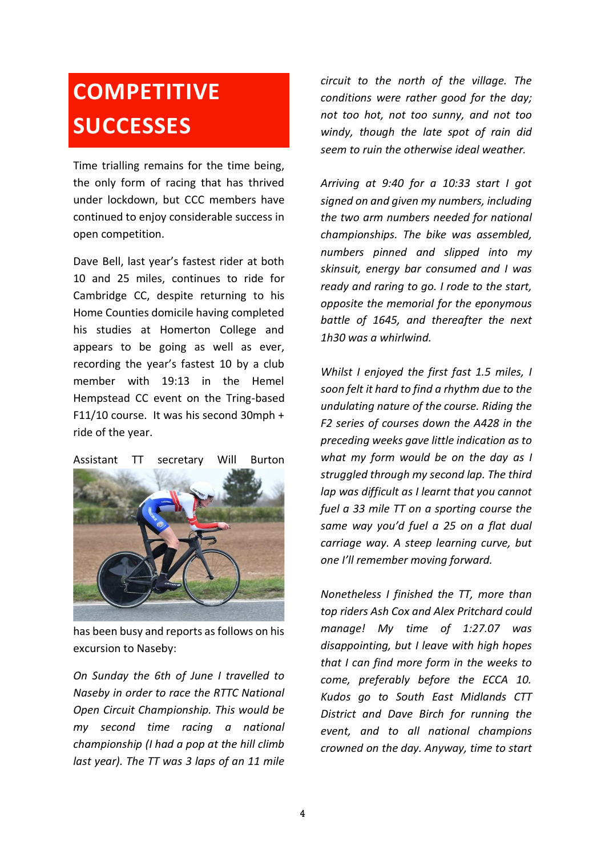## **COMPETITIVE SUCCESSES**

Time trialling remains for the time being, the only form of racing that has thrived under lockdown, but CCC members have continued to enjoy considerable success in open competition.

Dave Bell, last year's fastest rider at both 10 and 25 miles, continues to ride for Cambridge CC, despite returning to his Home Counties domicile having completed his studies at Homerton College and appears to be going as well as ever, recording the year's fastest 10 by a club member with 19:13 in the Hemel Hempstead CC event on the Tring-based F11/10 course. It was his second 30mph + ride of the year.

#### Assistant TT secretary Will Burton



has been busy and reports as follows on his excursion to Naseby:

*On Sunday the 6th of June I travelled to Naseby in order to race the RTTC National Open Circuit Championship. This would be my second time racing a national championship (I had a pop at the hill climb last year). The TT was 3 laps of an 11 mile* 

*circuit to the north of the village. The conditions were rather good for the day; not too hot, not too sunny, and not too windy, though the late spot of rain did seem to ruin the otherwise ideal weather.*

*Arriving at 9:40 for a 10:33 start I got signed on and given my numbers, including the two arm numbers needed for national championships. The bike was assembled, numbers pinned and slipped into my skinsuit, energy bar consumed and I was ready and raring to go. I rode to the start, opposite the memorial for the eponymous battle of 1645, and thereafter the next 1h30 was a whirlwind.*

*Whilst I enjoyed the first fast 1.5 miles, I soon felt it hard to find a rhythm due to the undulating nature of the course. Riding the F2 series of courses down the A428 in the preceding weeks gave little indication as to what my form would be on the day as I struggled through my second lap. The third lap was difficult as I learnt that you cannot fuel a 33 mile TT on a sporting course the same way you'd fuel a 25 on a flat dual carriage way. A steep learning curve, but one I'll remember moving forward.*

*Nonetheless I finished the TT, more than top riders Ash Cox and Alex Pritchard could manage! My time of 1:27.07 was disappointing, but I leave with high hopes that I can find more form in the weeks to come, preferably before the ECCA 10. Kudos go to South East Midlands CTT District and Dave Birch for running the event, and to all national champions crowned on the day. Anyway, time to start*